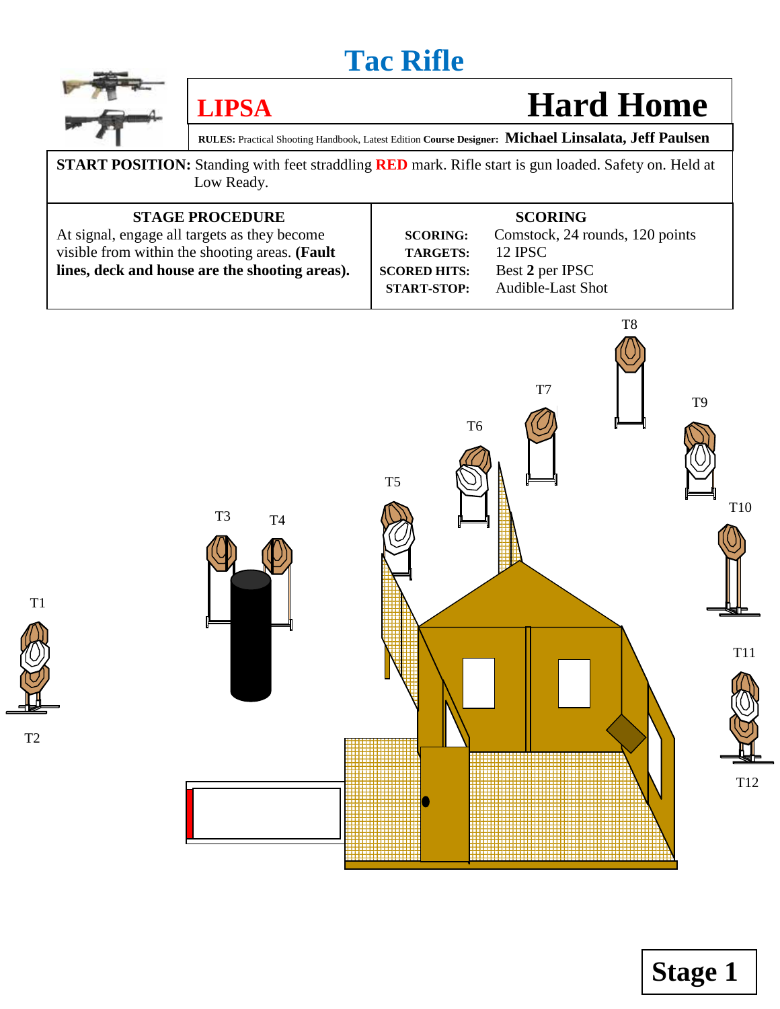

# **LIPSA** Hard Home

Zone

**Stage 1**

**RULES:** Practical Shooting Handbook, Latest Edition **Course Designer: Michael Linsalata, Jeff Paulsen**

**START POSITION:** Standing with feet straddling **RED** mark. Rifle start is gun loaded. Safety on. Held at Low Ready.

| <b>STAGE PROCEDURE</b><br>At signal, engage all targets as they become                           | <b>SCORING:</b>                                              | <b>SCORING</b><br>Comstock, 24 rounds, 120 points             |
|--------------------------------------------------------------------------------------------------|--------------------------------------------------------------|---------------------------------------------------------------|
| visible from within the shooting areas. (Fault<br>lines, deck and house are the shooting areas). | <b>TARGETS:</b><br><b>SCORED HITS:</b><br><b>START-STOP:</b> | 12 <b>IPSC</b><br>Best 2 per IPSC<br><b>Audible-Last Shot</b> |



T1



T2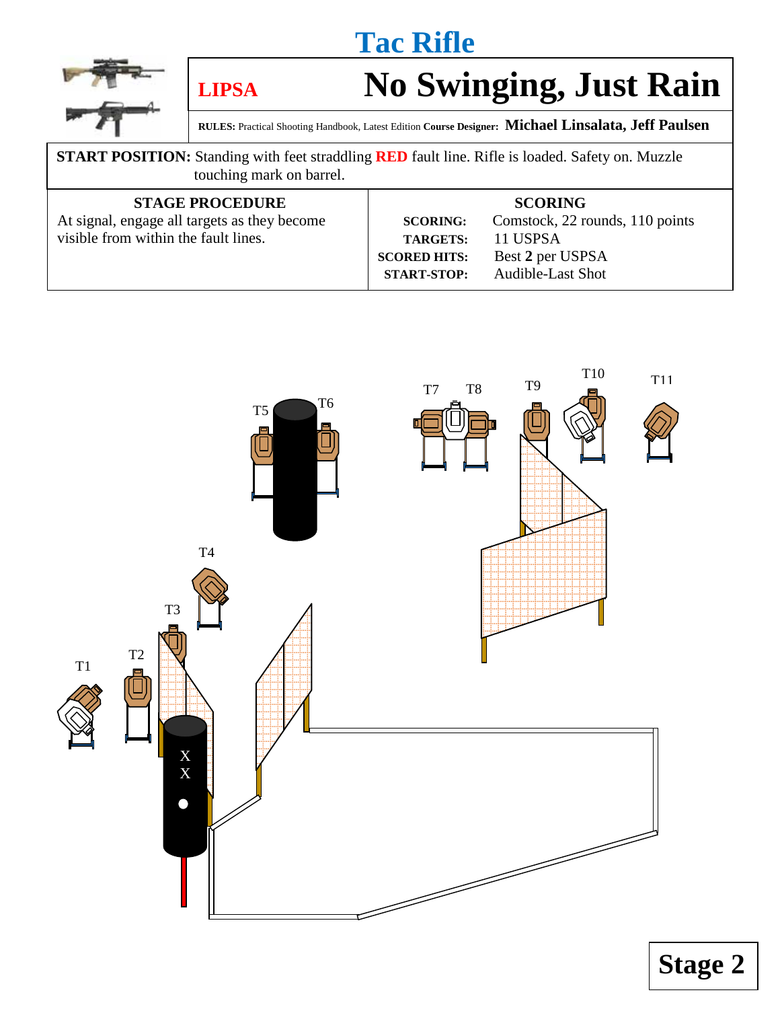

# **LIPSA No Swinging, Just Rain**

**RULES:** Practical Shooting Handbook, Latest Edition **Course Designer: Michael Linsalata, Jeff Paulsen**

#### **START POSITION:** Standing with feet straddling **RED** fault line. Rifle is loaded. Safety on. Muzzle touching mark on barrel.

| <b>STAGE PROCEDURE</b>                       |                     | <b>SCORING</b>                  |
|----------------------------------------------|---------------------|---------------------------------|
| At signal, engage all targets as they become | <b>SCORING:</b>     | Comstock, 22 rounds, 110 points |
| visible from within the fault lines.         | <b>TARGETS:</b>     | 11 USPSA                        |
|                                              | <b>SCORED HITS:</b> | Best 2 per USPSA                |
|                                              | <b>START-STOP:</b>  | <b>Audible-Last Shot</b>        |
|                                              |                     |                                 |



**Stage 2**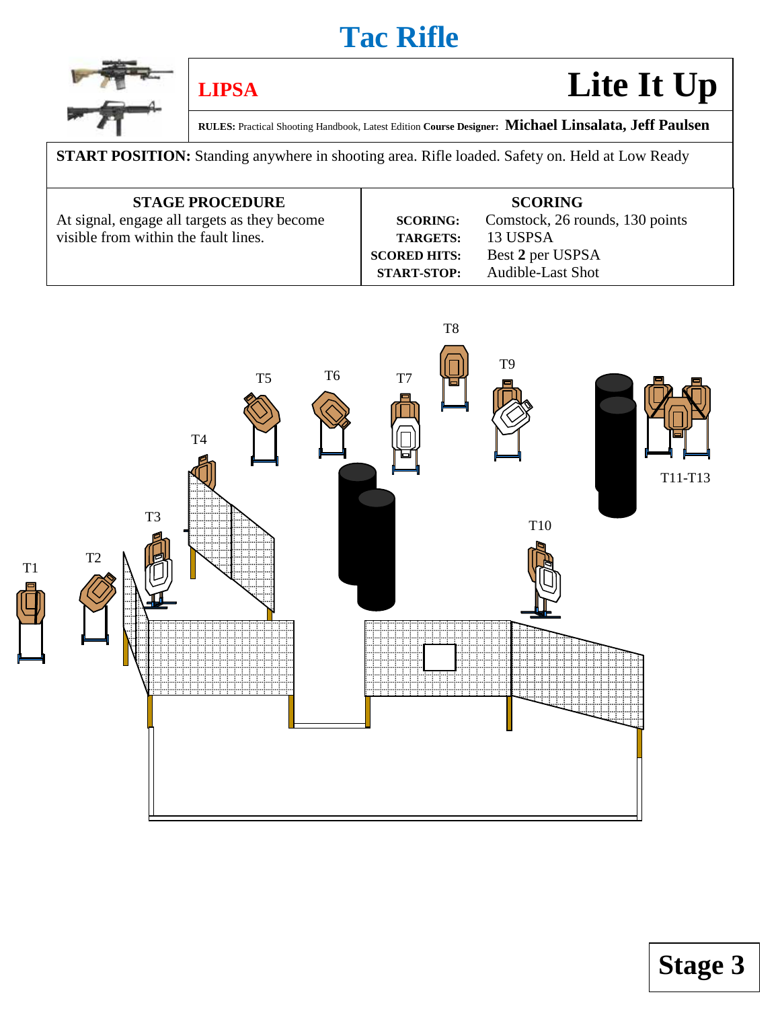

# **LIPSA Lite It Up**

**RULES:** Practical Shooting Handbook, Latest Edition **Course Designer: Michael Linsalata, Jeff Paulsen**

**START POSITION:** Standing anywhere in shooting area. Rifle loaded. Safety on. Held at Low Ready

| <b>STAGE PROCEDURE</b>                       |                     | <b>SCORING</b>                  |
|----------------------------------------------|---------------------|---------------------------------|
| At signal, engage all targets as they become | <b>SCORING:</b>     | Comstock, 26 rounds, 130 points |
| visible from within the fault lines.         | <b>TARGETS:</b>     | 13 USPSA                        |
|                                              | <b>SCORED HITS:</b> | Best 2 per USPSA                |
|                                              | <b>START-STOP:</b>  | <b>Audible-Last Shot</b>        |

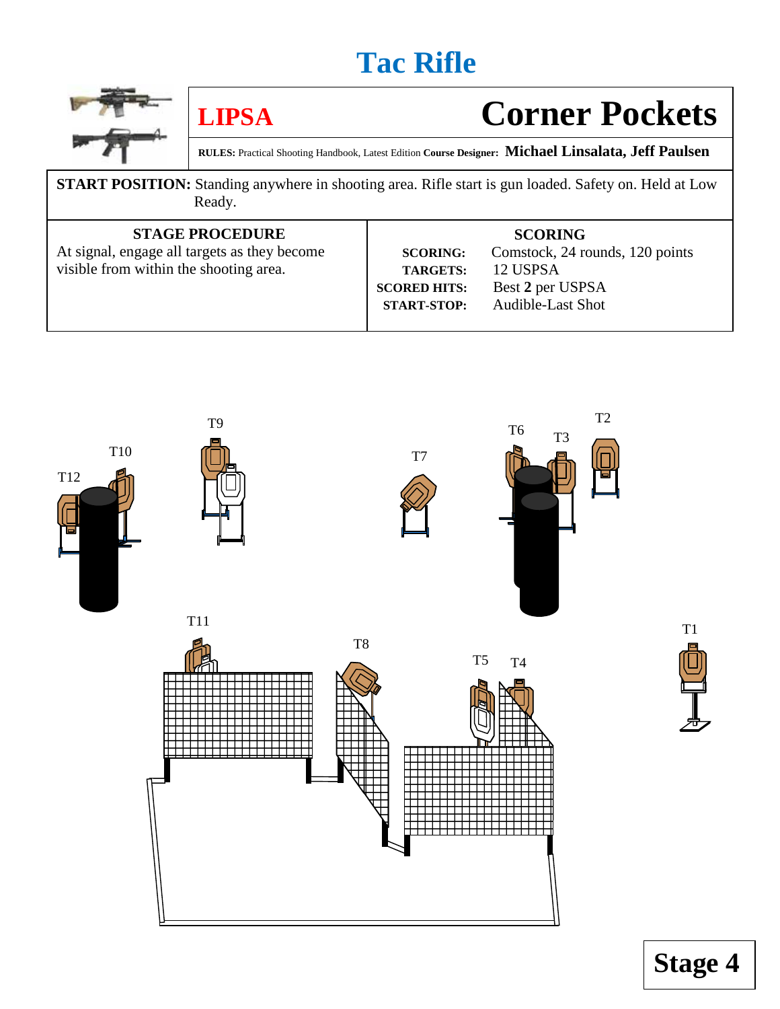

# **LIPSA Corner Pockets**

**RULES:** Practical Shooting Handbook, Latest Edition **Course Designer: Michael Linsalata, Jeff Paulsen**

**START POSITION:** Standing anywhere in shooting area. Rifle start is gun loaded. Safety on. Held at Low Ready.

#### **STAGE PROCEDURE**

At signal, engage all targets as they become visible from within the shooting area.

#### **SCORING**

**SCORING:** Comstock, 24 rounds, 120 points  **TARGETS:** 12 USPSA **SCORED HITS:** Best **2** per USPSA  **START-STOP:** Audible-Last Shot



T1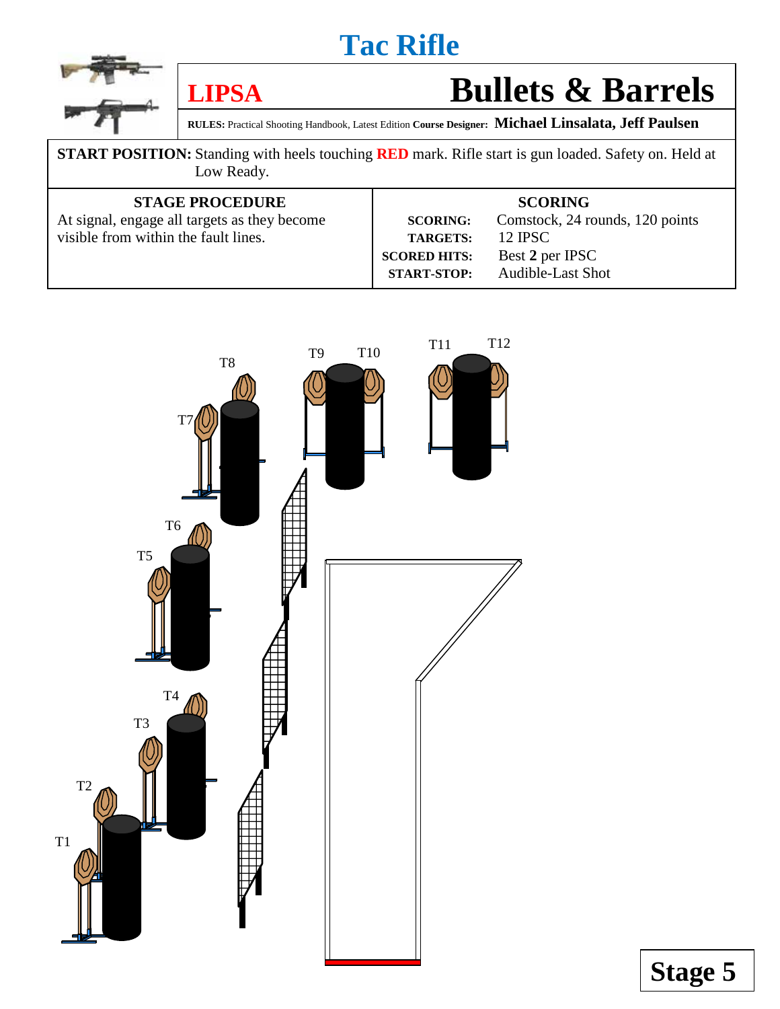



## **LIPSA Bullets & Barrels**

**RULES:** Practical Shooting Handbook, Latest Edition **Course Designer: Michael Linsalata, Jeff Paulsen**

**START POSITION:** Standing with heels touching **RED** mark. Rifle start is gun loaded. Safety on. Held at Low Ready.

| <b>STAGE PROCEDURE</b>                       |                     | <b>SCORING</b>                  |
|----------------------------------------------|---------------------|---------------------------------|
| At signal, engage all targets as they become | <b>SCORING:</b>     | Comstock, 24 rounds, 120 points |
| visible from within the fault lines.         | <b>TARGETS:</b>     | 12 <b>IPSC</b>                  |
|                                              | <b>SCORED HITS:</b> | Best 2 per IPSC                 |
|                                              | <b>START-STOP:</b>  | <b>Audible-Last Shot</b>        |